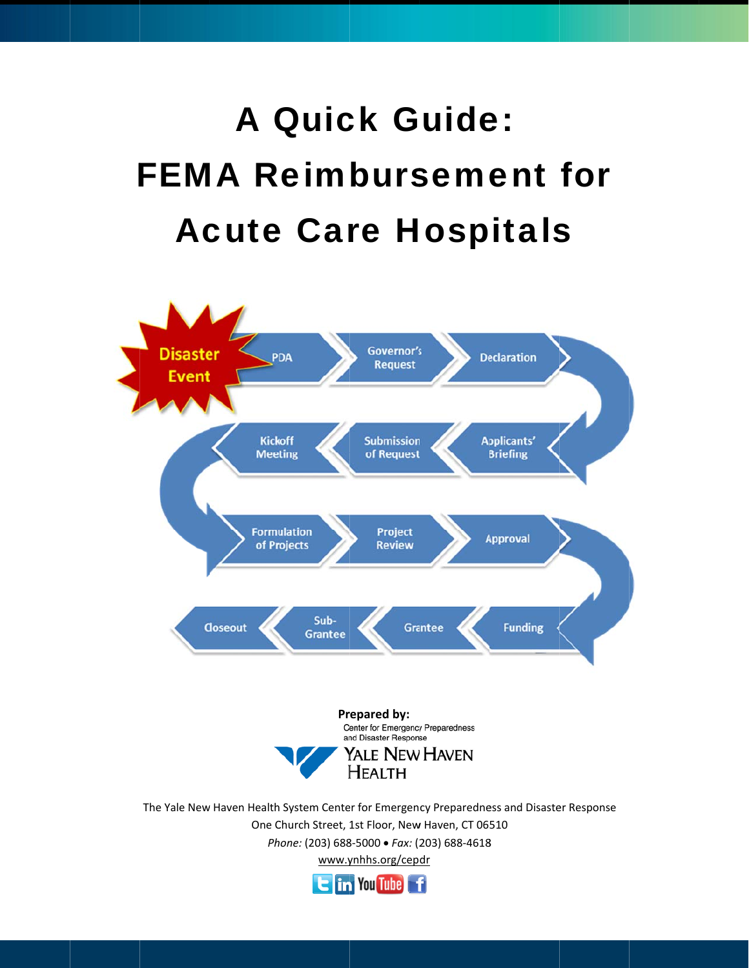# FEMA Reimbursement **Acute Care Hospitals** A Quick Guide:

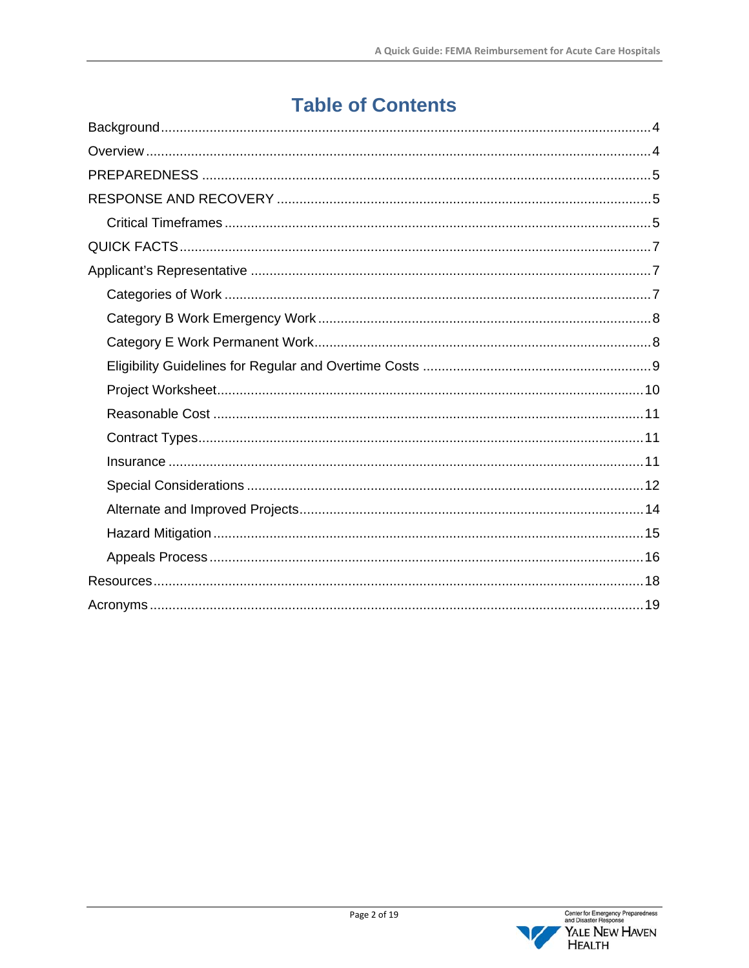# **Table of Contents**

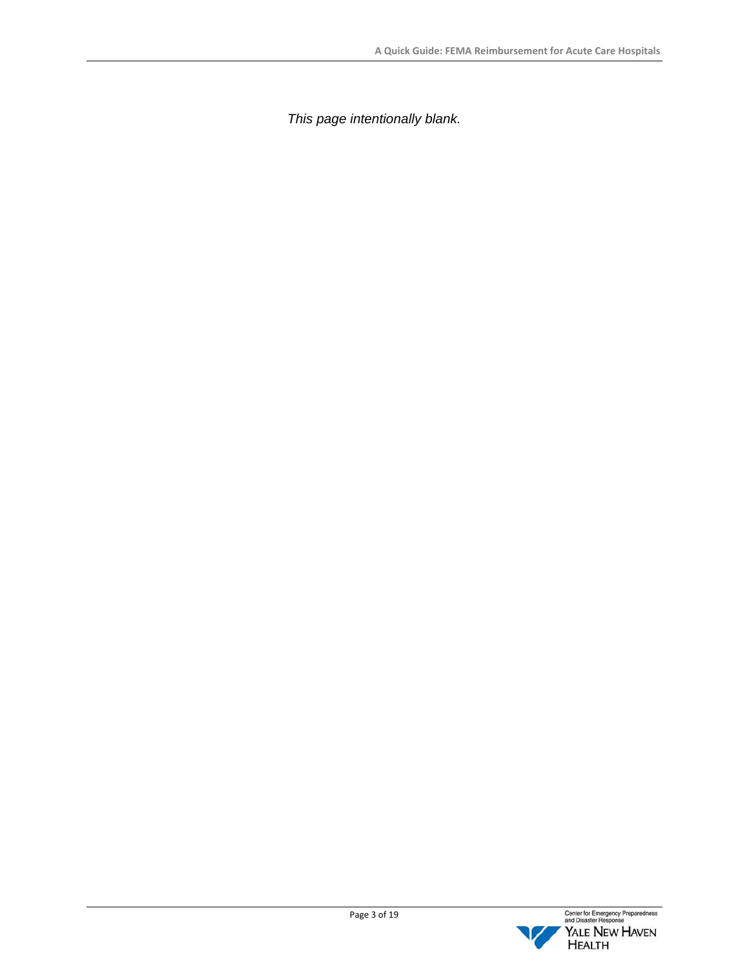*This page intentionally blank.* 

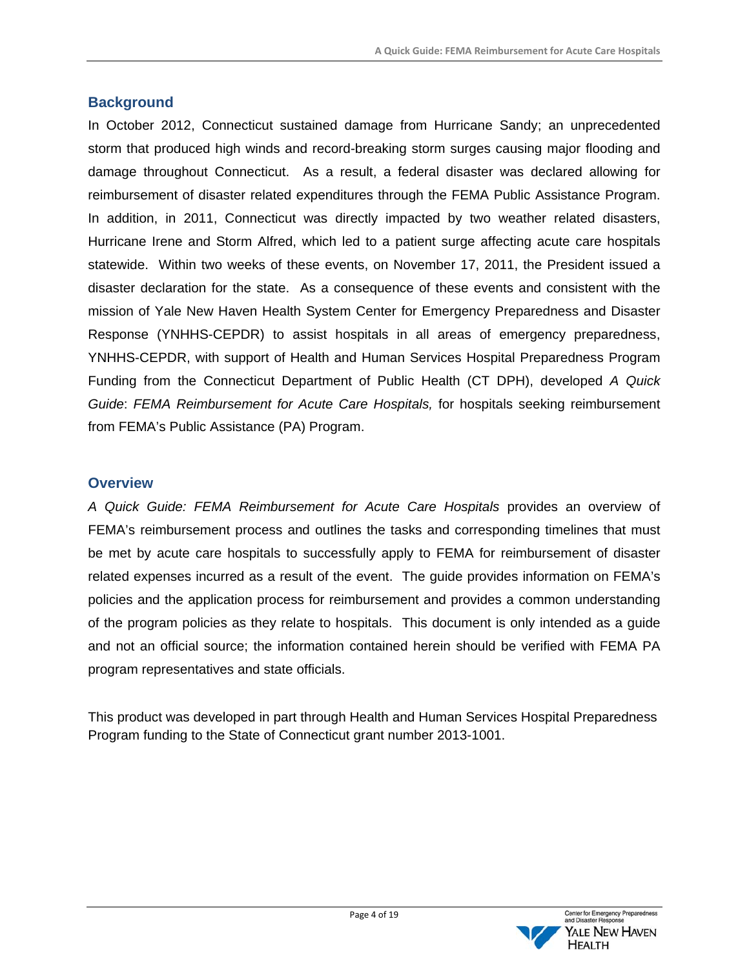#### <span id="page-3-0"></span>**Background**

In October 2012, Connecticut sustained damage from Hurricane Sandy; an unprecedented storm that produced high winds and record-breaking storm surges causing major flooding and damage throughout Connecticut. As a result, a federal disaster was declared allowing for reimbursement of disaster related expenditures through the FEMA Public Assistance Program. In addition, in 2011, Connecticut was directly impacted by two weather related disasters, Hurricane Irene and Storm Alfred, which led to a patient surge affecting acute care hospitals statewide. Within two weeks of these events, on November 17, 2011, the President issued a disaster declaration for the state. As a consequence of these events and consistent with the mission of Yale New Haven Health System Center for Emergency Preparedness and Disaster Response (YNHHS-CEPDR) to assist hospitals in all areas of emergency preparedness, YNHHS-CEPDR, with support of Health and Human Services Hospital Preparedness Program Funding from the Connecticut Department of Public Health (CT DPH), developed *A Quick Guide*: *FEMA Reimbursement for Acute Care Hospitals,* for hospitals seeking reimbursement from FEMA's Public Assistance (PA) Program.

#### **Overview**

*A Quick Guide: FEMA Reimbursement for Acute Care Hospitals* provides an overview of FEMA's reimbursement process and outlines the tasks and corresponding timelines that must be met by acute care hospitals to successfully apply to FEMA for reimbursement of disaster related expenses incurred as a result of the event. The guide provides information on FEMA's policies and the application process for reimbursement and provides a common understanding of the program policies as they relate to hospitals. This document is only intended as a guide and not an official source; the information contained herein should be verified with FEMA PA program representatives and state officials.

This product was developed in part through Health and Human Services Hospital Preparedness Program funding to the State of Connecticut grant number 2013-1001.

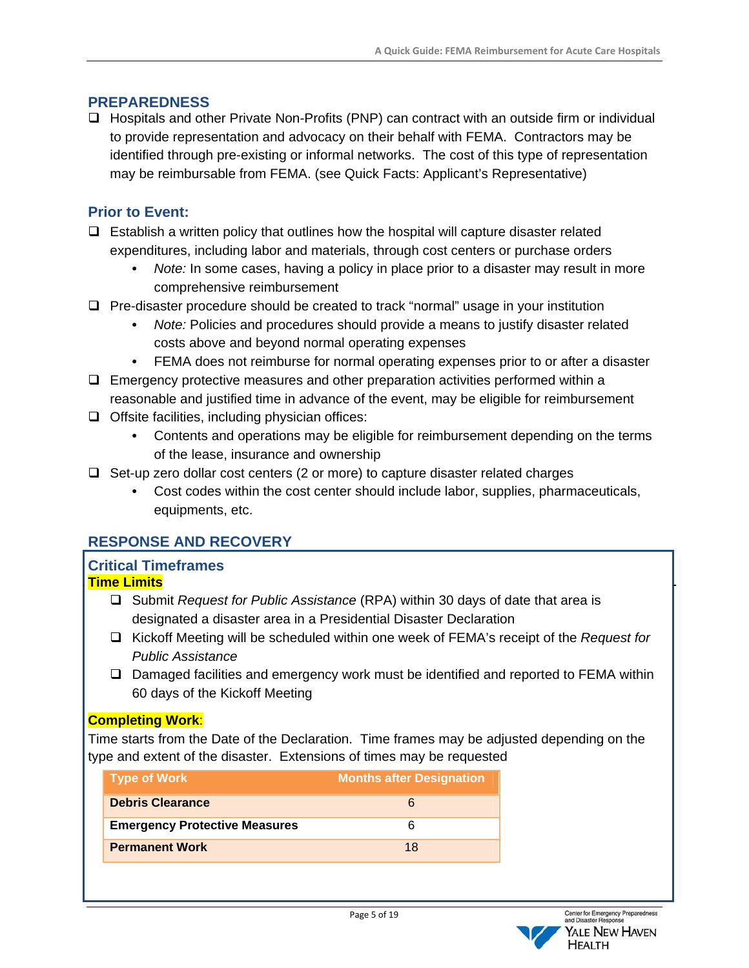#### <span id="page-4-0"></span>**PREPAREDNESS**

 $\Box$  Hospitals and other Private Non-Profits (PNP) can contract with an outside firm or individual to provide representation and advocacy on their behalf with FEMA. Contractors may be identified through pre-existing or informal networks. The cost of this type of representation may be reimbursable from FEMA. (see Quick Facts: Applicant's Representative)

#### **Prior to Event:**

- $\Box$  Establish a written policy that outlines how the hospital will capture disaster related expenditures, including labor and materials, through cost centers or purchase orders
	- *Note:* In some cases, having a policy in place prior to a disaster may result in more comprehensive reimbursement
- $\Box$  Pre-disaster procedure should be created to track "normal" usage in your institution
	- *Note:* Policies and procedures should provide a means to justify disaster related costs above and beyond normal operating expenses
	- FEMA does not reimburse for normal operating expenses prior to or after a disaster
- $\Box$  Emergency protective measures and other preparation activities performed within a reasonable and justified time in advance of the event, may be eligible for reimbursement
- $\Box$  Offsite facilities, including physician offices:
	- Contents and operations may be eligible for reimbursement depending on the terms of the lease, insurance and ownership
- $\Box$  Set-up zero dollar cost centers (2 or more) to capture disaster related charges
	- Cost codes within the cost center should include labor, supplies, pharmaceuticals, equipments, etc.

## **RESPONSE AND RECOVERY**

# **Critical Timeframes**

#### **Time Limits**

- Submit *Request for Public Assistance* (RPA) within 30 days of date that area is designated a disaster area in a Presidential Disaster Declaration
- Kickoff Meeting will be scheduled within one week of FEMA's receipt of the *Request for Public Assistance*
- $\Box$  Damaged facilities and emergency work must be identified and reported to FEMA within 60 days of the Kickoff Meeting

#### **Completing Work**:

Time starts from the Date of the Declaration. Time frames may be adjusted depending on the type and extent of the disaster. Extensions of times may be requested

| Type of Work                         | <b>Months after Designation</b> |
|--------------------------------------|---------------------------------|
| <b>Debris Clearance</b>              | 6                               |
| <b>Emergency Protective Measures</b> | 6                               |
| <b>Permanent Work</b>                | 18                              |

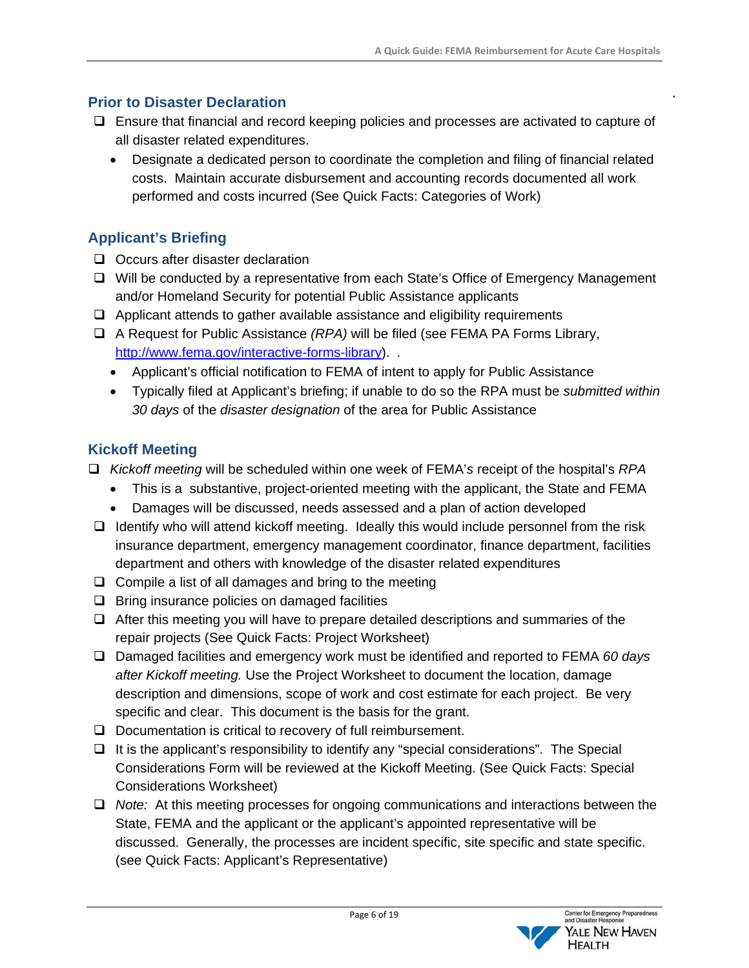#### **Prior to Disaster Declaration**

- Ensure that financial and record keeping policies and processes are activated to capture of all disaster related expenditures.
	- Designate a dedicated person to coordinate the completion and filing of financial related costs. Maintain accurate disbursement and accounting records documented all work performed and costs incurred (See Quick Facts: Categories of Work)

# **Applicant's Briefing**

- $\Box$  Occurs after disaster declaration
- Will be conducted by a representative from each State's Office of Emergency Management and/or Homeland Security for potential Public Assistance applicants
- $\Box$  Applicant attends to gather available assistance and eligibility requirements
- A Request for Public Assistance *(RPA)* will be filed (see FEMA PA Forms Library, <http://www.fema.gov/interactive-forms-library>). *.* 
	- Applicant's official notification to FEMA of intent to apply for Public Assistance
	- Typically filed at Applicant's briefing; if unable to do so the RPA must be *submitted within 30 days* of the *disaster designation* of the area for Public Assistance

## **Kickoff Meeting**

*Kickoff meeting* will be scheduled within one week of FEMA'*s* receipt of the hospital's *RPA*

- This is a substantive, project-oriented meeting with the applicant, the State and FEMA
- Damages will be discussed, needs assessed and a plan of action developed
- $\Box$  Identify who will attend kickoff meeting. Ideally this would include personnel from the risk insurance department, emergency management coordinator, finance department, facilities department and others with knowledge of the disaster related expenditures
- $\Box$  Compile a list of all damages and bring to the meeting
- $\Box$  Bring insurance policies on damaged facilities
- $\Box$  After this meeting you will have to prepare detailed descriptions and summaries of the repair projects (See Quick Facts: Project Worksheet)
- Damaged facilities and emergency work must be identified and reported to FEMA *60 days after Kickoff meeting.* Use the Project Worksheet to document the location, damage description and dimensions, scope of work and cost estimate for each project. Be very specific and clear. This document is the basis for the grant.
- □ Documentation is critical to recovery of full reimbursement.
- $\Box$  It is the applicant's responsibility to identify any "special considerations". The Special Considerations Form will be reviewed at the Kickoff Meeting. (See Quick Facts: Special Considerations Worksheet)
- *Note:* At this meeting processes for ongoing communications and interactions between the State, FEMA and the applicant or the applicant's appointed representative will be discussed. Generally, the processes are incident specific, site specific and state specific. (see Quick Facts: Applicant's Representative)

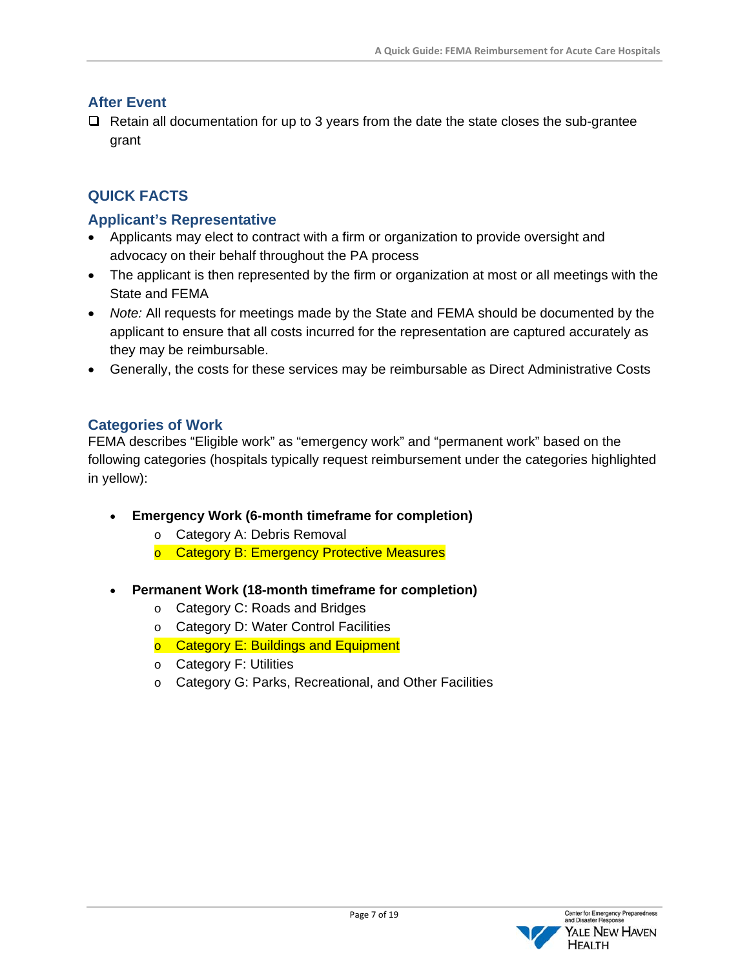#### <span id="page-6-0"></span>**After Event**

 $\Box$  Retain all documentation for up to 3 years from the date the state closes the sub-grantee grant

# **QUICK FACTS**

#### **Applicant's Representative**

- Applicants may elect to contract with a firm or organization to provide oversight and advocacy on their behalf throughout the PA process
- The applicant is then represented by the firm or organization at most or all meetings with the State and FEMA
- *Note:* All requests for meetings made by the State and FEMA should be documented by the applicant to ensure that all costs incurred for the representation are captured accurately as they may be reimbursable.
- Generally, the costs for these services may be reimbursable as Direct Administrative Costs

#### **Categories of Work**

FEMA describes "Eligible work" as "emergency work" and "permanent work" based on the following categories (hospitals typically request reimbursement under the categories highlighted in yellow):

- **Emergency Work (6-month timeframe for completion)** 
	- o Category A: Debris Removal
	- o Category B: Emergency Protective Measures
- **Permanent Work (18-month timeframe for completion)** 
	- o Category C: Roads and Bridges
	- o Category D: Water Control Facilities
	- o Category E: Buildings and Equipment
	- o Category F: Utilities
	- o Category G: Parks, Recreational, and Other Facilities

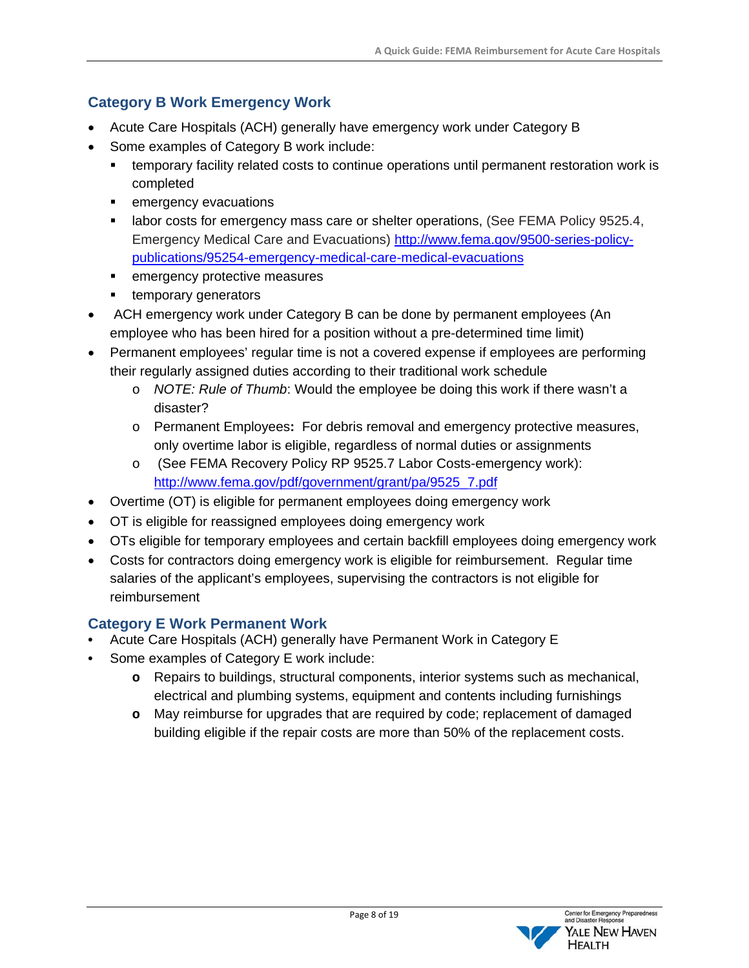# <span id="page-7-0"></span>**Category B Work Emergency Work**

- Acute Care Hospitals (ACH) generally have emergency work under Category B
- Some examples of Category B work include:
	- temporary facility related costs to continue operations until permanent restoration work is completed
	- **EXECUTE:** emergency evacuations
	- **Example 1** labor costs for emergency mass care or shelter operations, (See FEMA Policy 9525.4, [Emergency Medical Care and Evacuations\) http://www.fema.gov/9500-series-policy](http://www.fema.gov/9500-series-policy-publications/95254-emergency-medical-care-medical-evacuations)publications[/95254-emergency-medical-care-medical-evacuations](http://www.fema.gov/9500-series-policy-publications/95254-emergency-medical-care-medical-evacuations)
	- **EXECUTE:** emergency protective measures
	- temporary generators
- ACH emergency work under Category B can be done by permanent employees (An employee who has been hired for a position without a pre-determined time limit)
- Permanent employees' regular time is not a covered expense if employees are performing their regularly assigned duties according to their traditional work schedule
	- o *NOTE: Rule of Thumb*: Would the employee be doing this work if there wasn't a disaster?
	- o Permanent Employees**:** For debris removal and emergency protective measures, only overtime labor is eligible, regardless of normal duties or assignments
	- o (See FEMA Recovery Policy RP 9525.7 Labor Costs-emergency work): [http://www.fema.gov/pdf/government/grant/pa/9525\\_7.pdf](http://www.fema.gov/pdf/government/grant/pa/9525_7.pdf)
- Overtime (OT) is eligible for permanent employees doing emergency work
- OT is eligible for reassigned employees doing emergency work
- OTs eligible for temporary employees and certain backfill employees doing emergency work
- Costs for contractors doing emergency work is eligible for reimbursement. Regular time salaries of the applicant's employees, supervising the contractors is not eligible for reimbursement

#### **Category E Work Permanent Work**

- Acute Care Hospitals (ACH) generally have Permanent Work in Category E
- Some examples of Category E work include:
	- **o** Repairs to buildings, structural components, interior systems such as mechanical, electrical and plumbing systems, equipment and contents including furnishings
	- **o** May reimburse for upgrades that are required by code; replacement of damaged building eligible if the repair costs are more than 50% of the replacement costs.

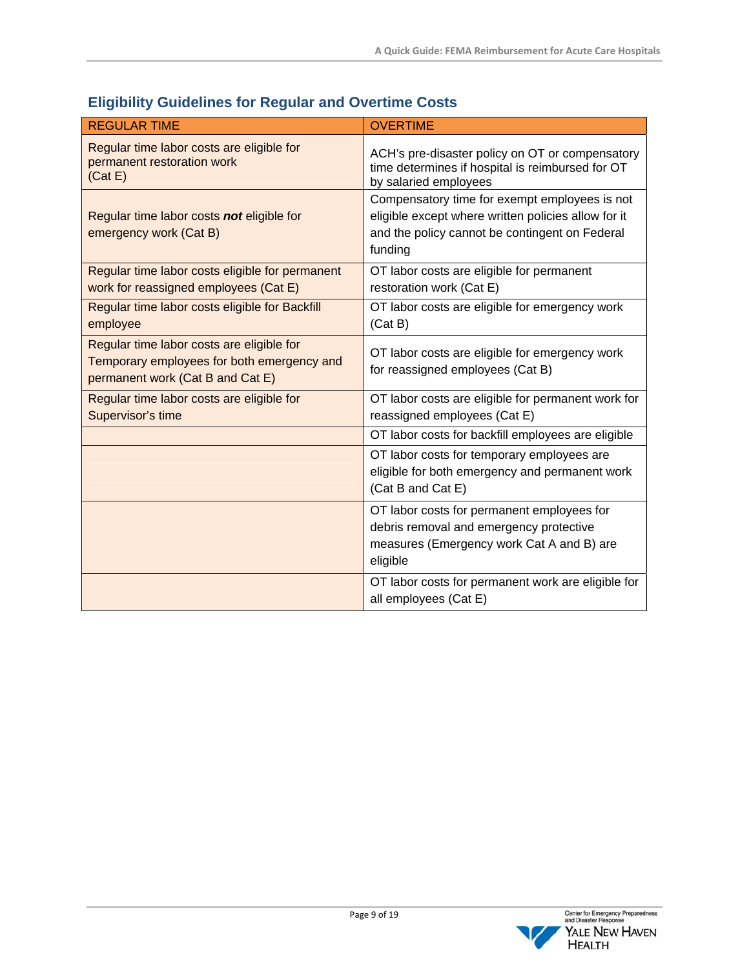| <b>REGULAR TIME</b>                                                                                                         | <b>OVERTIME</b>                                                                                                                                                   |
|-----------------------------------------------------------------------------------------------------------------------------|-------------------------------------------------------------------------------------------------------------------------------------------------------------------|
| Regular time labor costs are eligible for<br>permanent restoration work<br>(Cat E)                                          | ACH's pre-disaster policy on OT or compensatory<br>time determines if hospital is reimbursed for OT<br>by salaried employees                                      |
| Regular time labor costs not eligible for<br>emergency work (Cat B)                                                         | Compensatory time for exempt employees is not<br>eligible except where written policies allow for it<br>and the policy cannot be contingent on Federal<br>funding |
| Regular time labor costs eligible for permanent<br>work for reassigned employees (Cat E)                                    | OT labor costs are eligible for permanent<br>restoration work (Cat E)                                                                                             |
| Regular time labor costs eligible for Backfill<br>employee                                                                  | OT labor costs are eligible for emergency work<br>(Cat B)                                                                                                         |
| Regular time labor costs are eligible for<br>Temporary employees for both emergency and<br>permanent work (Cat B and Cat E) | OT labor costs are eligible for emergency work<br>for reassigned employees (Cat B)                                                                                |
| Regular time labor costs are eligible for<br>Supervisor's time                                                              | OT labor costs are eligible for permanent work for<br>reassigned employees (Cat E)                                                                                |
|                                                                                                                             | OT labor costs for backfill employees are eligible                                                                                                                |
|                                                                                                                             | OT labor costs for temporary employees are<br>eligible for both emergency and permanent work<br>(Cat B and Cat E)                                                 |
|                                                                                                                             | OT labor costs for permanent employees for<br>debris removal and emergency protective<br>measures (Emergency work Cat A and B) are<br>eligible                    |
|                                                                                                                             | OT labor costs for permanent work are eligible for<br>all employees (Cat E)                                                                                       |

# <span id="page-8-0"></span>**Eligibility Guidelines for Regular and Overtime Costs**

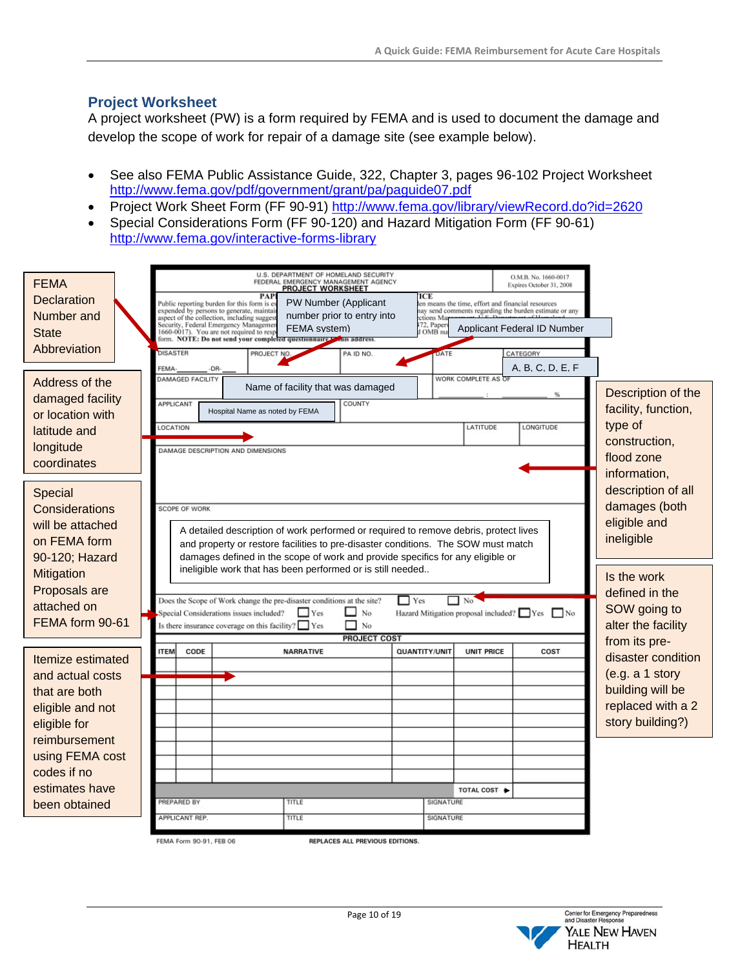#### <span id="page-9-0"></span>**Project Worksheet**

A project worksheet (PW) is a form required by FEMA and is used to document the damage and develop the scope of work for repair of a damage site (see example below).

- See also FEMA Public Assistance Guide, 322, Chapter 3, pages 96-102 Project Worksheet <http://www.fema.gov/pdf/government/grant/pa/paguide07.pdf>
- Project Work Sheet Form (FF 90-91) <http://www.fema.gov/library/viewRecord.do?id=2620>
- Special Considerations Form (FF 90-120) and Hazard Mitigation Form (FF 90-61) <http://www.fema.gov/interactive-forms-library>

| <b>FEMA</b>        | U.S. DEPARTMENT OF HOMELAND SECURITY<br>O.M.B. No. 1660-0017<br>FEDERAL EMERGENCY MANAGEMENT AGENCY<br>Expires October 31, 2008                                                                                                                     |                     |
|--------------------|-----------------------------------------------------------------------------------------------------------------------------------------------------------------------------------------------------------------------------------------------------|---------------------|
| <b>Declaration</b> | PAP<br>TCE<br>PW Number (Applicant<br>Public reporting burden for this form is e<br>len means the time, effort and financial resources                                                                                                              |                     |
| Number and         | nay send comments regarding the burden estimate or any<br>expended by persons to generate, maintal<br>number prior to entry into<br>aspect of the collection, including sugges<br>ections Mar                                                       |                     |
| <b>State</b>       | Security, Federal Emergency Management<br>1660-0017). You are not required to resp. FEMA SVSt<br>form. NOTE: Do not send your completed questionnaire<br>472, Paper<br>d OMB nu<br>Applicant Federal ID Number<br>FEMA system)<br><b>ns</b> address |                     |
| Abbreviation       | <b>DISASTER</b><br>PROJECT NO.<br>CATEGORY<br>PA ID NO.<br>DATE                                                                                                                                                                                     |                     |
|                    | A, B, C, D, E, F<br>FEMA-<br>-DR-                                                                                                                                                                                                                   |                     |
| Address of the     | WORK COMPLETE AS OF<br>DAMAGED FACILITY<br>Name of facility that was damaged                                                                                                                                                                        |                     |
| damaged facility   | COUNTY<br>APPLICANT                                                                                                                                                                                                                                 | Description of the  |
| or location with   | Hospital Name as noted by FEMA                                                                                                                                                                                                                      | facility, function, |
| latitude and       | OCATION<br>LATITUDE<br>LONGITUDE                                                                                                                                                                                                                    | type of             |
| longitude          | DAMAGE DESCRIPTION AND DIMENSIONS                                                                                                                                                                                                                   | construction,       |
| coordinates        |                                                                                                                                                                                                                                                     | flood zone          |
|                    |                                                                                                                                                                                                                                                     | information,        |
| Special            |                                                                                                                                                                                                                                                     | description of all  |
| Considerations     | <b>SCOPE OF WORK</b>                                                                                                                                                                                                                                | damages (both       |
| will be attached   | A detailed description of work performed or required to remove debris, protect lives                                                                                                                                                                | eligible and        |
| on FEMA form       | and property or restore facilities to pre-disaster conditions. The SOW must match                                                                                                                                                                   | ineligible          |
| 90-120; Hazard     | damages defined in the scope of work and provide specifics for any eligible or                                                                                                                                                                      |                     |
| Mitigation         | ineligible work that has been performed or is still needed                                                                                                                                                                                          | Is the work         |
| Proposals are      |                                                                                                                                                                                                                                                     | defined in the      |
| attached on        | Does the Scope of Work change the pre-disaster conditions at the site?<br>$\Box$ Yes<br>$\Box$ No<br>Hazard Mitigation proposal included? Tes No<br>$\Box$ No<br>Special Considerations issues included?<br>$Y$ es                                  | SOW going to        |
| FEMA form 90-61    | $\Box$ No<br>Is there insurance coverage on this facility? Yes                                                                                                                                                                                      | alter the facility  |
|                    | <b>PROJECT COST</b>                                                                                                                                                                                                                                 | from its pre-       |
| Itemize estimated  | CODE<br>QUANTITY/UNIT<br><b>UNIT PRICE</b><br><b>ITEM</b><br><b>NARRATIVE</b><br>COST                                                                                                                                                               | disaster condition  |
| and actual costs   |                                                                                                                                                                                                                                                     | (e.g. a 1 story     |
| that are both      |                                                                                                                                                                                                                                                     | building will be    |
|                    |                                                                                                                                                                                                                                                     |                     |
|                    |                                                                                                                                                                                                                                                     |                     |
| eligible and not   |                                                                                                                                                                                                                                                     | replaced with a 2   |
| eligible for       |                                                                                                                                                                                                                                                     | story building?)    |
| reimbursement      |                                                                                                                                                                                                                                                     |                     |
| using FEMA cost    |                                                                                                                                                                                                                                                     |                     |
| codes if no        |                                                                                                                                                                                                                                                     |                     |
| estimates have     | TOTAL COST ▶<br>TITLE<br>SIGNATURE<br>PREPARED BY                                                                                                                                                                                                   |                     |
| been obtained      | APPLICANT REP.<br>TITLE<br>SIGNATURE                                                                                                                                                                                                                |                     |

FEMA Form 90-91, FEB 06

REPLACES ALL PREVIOUS EDITIONS

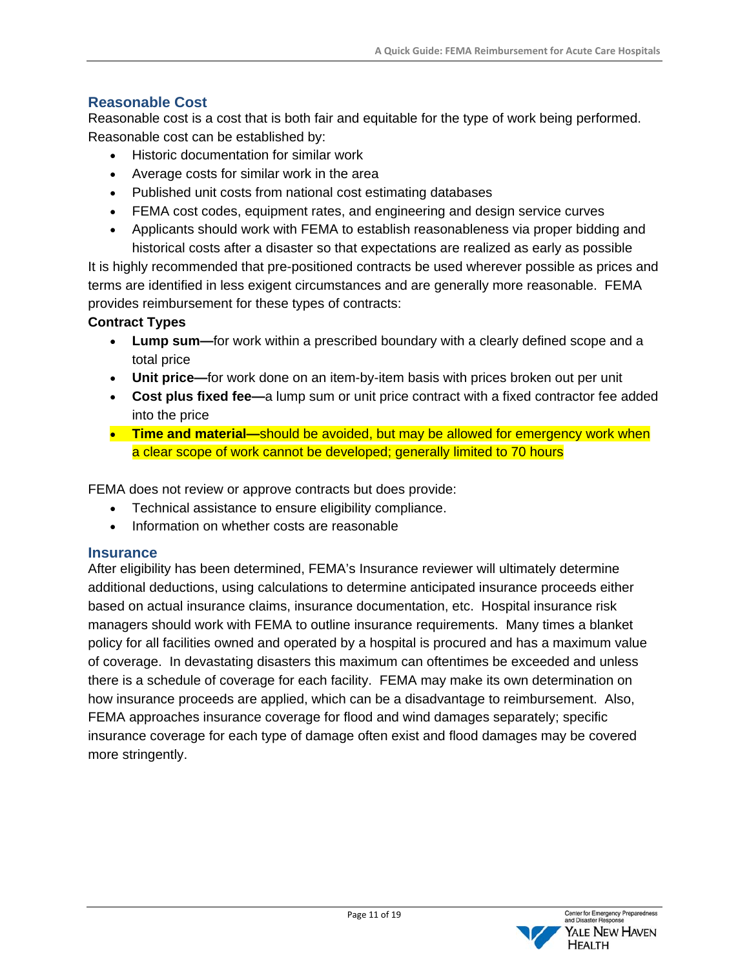#### <span id="page-10-0"></span>**Reasonable Cost**

Reasonable cost is a cost that is both fair and equitable for the type of work being performed. Reasonable cost can be established by:

- Historic documentation for similar work
- Average costs for similar work in the area
- Published unit costs from national cost estimating databases
- FEMA cost codes, equipment rates, and engineering and design service curves
- Applicants should work with FEMA to establish reasonableness via proper bidding and historical costs after a disaster so that expectations are realized as early as possible

It is highly recommended that pre-positioned contracts be used wherever possible as prices and terms are identified in less exigent circumstances and are generally more reasonable. FEMA provides reimbursement for these types of contracts:

#### **Contract Types**

- **Lump sum—**for work within a prescribed boundary with a clearly defined scope and a total price
- **Unit price—**for work done on an item-by-item basis with prices broken out per unit
- **Cost plus fixed fee—**a lump sum or unit price contract with a fixed contractor fee added into the price
- **Time and material—**should be avoided, but may be allowed for emergency work when a clear scope of work cannot be developed; generally limited to 70 hours

FEMA does not review or approve contracts but does provide:

- Technical assistance to ensure eligibility compliance.
- Information on whether costs are reasonable

#### **Insurance**

After eligibility has been determined, FEMA's Insurance reviewer will ultimately determine additional deductions, using calculations to determine anticipated insurance proceeds either based on actual insurance claims, insurance documentation, etc. Hospital insurance risk managers should work with FEMA to outline insurance requirements. Many times a blanket policy for all facilities owned and operated by a hospital is procured and has a maximum value of coverage. In devastating disasters this maximum can oftentimes be exceeded and unless there is a schedule of coverage for each facility. FEMA may make its own determination on how insurance proceeds are applied, which can be a disadvantage to reimbursement. Also, FEMA approaches insurance coverage for flood and wind damages separately; specific insurance coverage for each type of damage often exist and flood damages may be covered more stringently.

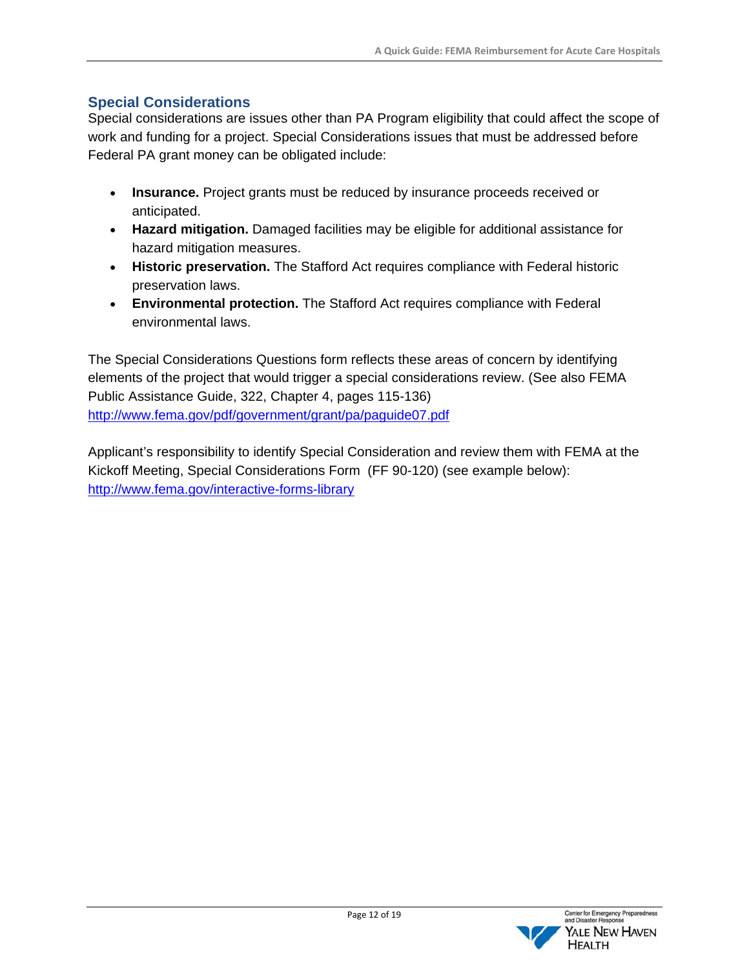#### <span id="page-11-0"></span>**Special Considerations**

Special considerations are issues other than PA Program eligibility that could affect the scope of work and funding for a project. Special Considerations issues that must be addressed before Federal PA grant money can be obligated include:

- **Insurance.** Project grants must be reduced by insurance proceeds received or anticipated.
- **Hazard mitigation.** Damaged facilities may be eligible for additional assistance for hazard mitigation measures.
- **Historic preservation.** The Stafford Act requires compliance with Federal historic preservation laws.
- **Environmental protection.** The Stafford Act requires compliance with Federal environmental laws.

The Special Considerations Questions form reflects these areas of concern by identifying elements of the project that would trigger a special considerations review. (See also FEMA Public Assistance Guide, 322, Chapter 4, pages 115-136) <http://www.fema.gov/pdf/government/grant/pa/paguide07.pdf>

Applicant's responsibility to identify Special Consideration and review them with FEMA at the Kickoff Meeting, Special Considerations Form (FF 90-120) (see example below): <http://www.fema.gov/interactive-forms-library>

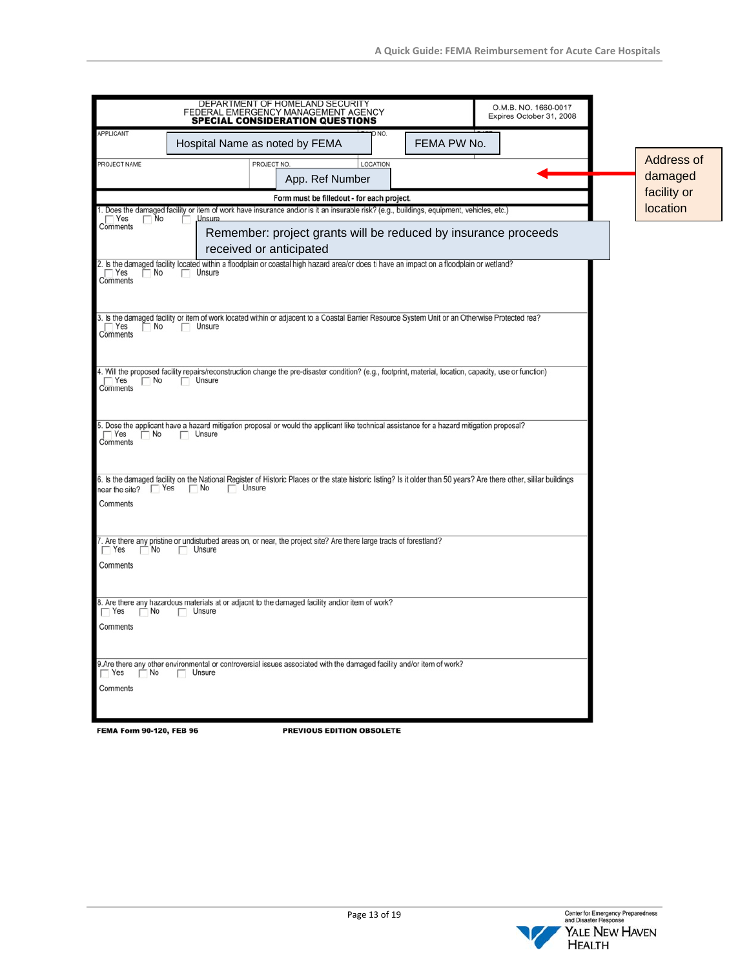|                                                |                            | DEPARTMENT OF HOMELAND SECURITY<br>FEDERAL EMERGENCY MANAGEMENT AGENCY<br><b>SPECIAL CONSIDERATION QUESTIONS</b>                                                    |             | O.M.B. NO. 1660-0017<br>Expires October 31, 2008 |                       |
|------------------------------------------------|----------------------------|---------------------------------------------------------------------------------------------------------------------------------------------------------------------|-------------|--------------------------------------------------|-----------------------|
| APPLICANT                                      |                            | D NO.<br>Hospital Name as noted by FEMA                                                                                                                             | FEMA PW No. |                                                  |                       |
| PROJECT NAME                                   |                            | PROJECT NO<br>LOCATION<br>App. Ref Number                                                                                                                           |             |                                                  | Address of<br>damaged |
|                                                |                            | Form must be filledout - for each project.                                                                                                                          |             |                                                  | facility or           |
| "Yes<br>$\Box$ No                              | Unsure                     | 1. Does the damaged facility or item of work have insurance and/or is it an insurable risk? (e.g., buildings, equipment, vehicles, etc.)                            |             |                                                  | location              |
| Comments                                       |                            | Remember: project grants will be reduced by insurance proceeds<br>received or anticipated                                                                           |             |                                                  |                       |
| ⊤ Yes<br>⊤ No<br>Comments                      | Unsure                     | 2. Is the damaged facility located within a floodplain or coastal high hazard area/or does ti have an impact on a floodplain or wetland?                            |             |                                                  |                       |
| <sup>-</sup> Yes<br>$\sqsubset$ No<br>Comments | $\Box$ Unsure              | 3. Is the damaged facility or item of work located within or adjacent to a Coastal Barrier Resource System Unit or an Otherwise Protected rea?                      |             |                                                  |                       |
| ⊤ Yes<br>$\Box$ No<br>Comments                 | $\Box$ Unsure              | 4. Will the proposed facility repairs/reconstruction change the pre-disaster condition? (e.g., footprint, material, location, capacity, use or function)            |             |                                                  |                       |
| ⊤ Yes<br>$\Box$ No<br>Comments                 | $\Box$ Unsure              | 5. Dose the applicant have a hazard mitigation proposal or would the applicant like technical assistance for a hazard mitigation proposal?                          |             |                                                  |                       |
| near the site?   Yes                           | $\Box$ No<br>$\Box$ Unsure | 6. Is the damaged facility on the National Register of Historic Places or the state historic listing? Is it older than 50 years? Are there other, sililar buildings |             |                                                  |                       |
| Comments                                       |                            |                                                                                                                                                                     |             |                                                  |                       |
| $\Gamma$ Yes<br>$\Box$ No                      | $\Box$ Unsure              | 7. Are there any pristine or undisturbed areas on, or near, the project site? Are there large tracts of forestland?                                                 |             |                                                  |                       |
| Comments                                       |                            |                                                                                                                                                                     |             |                                                  |                       |
| $\Box$ No<br>$\Gamma$ Yes                      | $\Box$ Unsure              | 8. Are there any hazardous materials at or adjacnt to the damaged facility and/or item of work?                                                                     |             |                                                  |                       |
| Comments                                       |                            |                                                                                                                                                                     |             |                                                  |                       |
| $\Box$ No<br>$\Box$ Yes                        | $\Box$ Unsure              | 9. Are there any other environmental or controversial issues associated with the damaged facility and/or item of work?                                              |             |                                                  |                       |
| Comments                                       |                            |                                                                                                                                                                     |             |                                                  |                       |
| EEMA Form 90.420 EER 96                        |                            | <b>PREVIOUS EDITION ORSOLETE</b>                                                                                                                                    |             |                                                  |                       |

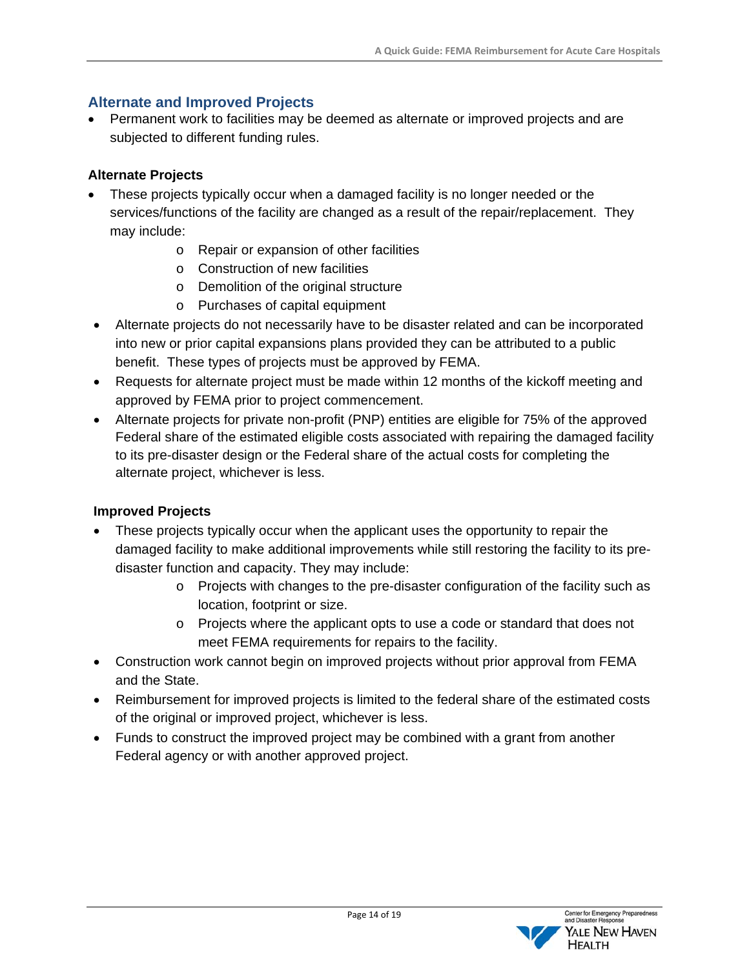#### <span id="page-13-0"></span>**Alternate and Improved Projects**

• Permanent work to facilities may be deemed as alternate or improved projects and are subjected to different funding rules.

#### **Alternate Projects**

- These projects typically occur when a damaged facility is no longer needed or the services/functions of the facility are changed as a result of the repair/replacement. They may include:
	- o Repair or expansion of other facilities
	- o Construction of new facilities
	- o Demolition of the original structure
	- o Purchases of capital equipment
- Alternate projects do not necessarily have to be disaster related and can be incorporated into new or prior capital expansions plans provided they can be attributed to a public benefit. These types of projects must be approved by FEMA.
- Requests for alternate project must be made within 12 months of the kickoff meeting and approved by FEMA prior to project commencement.
- Alternate projects for private non-profit (PNP) entities are eligible for 75% of the approved Federal share of the estimated eligible costs associated with repairing the damaged facility to its pre-disaster design or the Federal share of the actual costs for completing the alternate project, whichever is less.

#### **Improved Projects**

- These projects typically occur when the applicant uses the opportunity to repair the damaged facility to make additional improvements while still restoring the facility to its predisaster function and capacity. They may include:
	- o Projects with changes to the pre-disaster configuration of the facility such as location, footprint or size.
	- o Projects where the applicant opts to use a code or standard that does not meet FEMA requirements for repairs to the facility.
- Construction work cannot begin on improved projects without prior approval from FEMA and the State.
- Reimbursement for improved projects is limited to the federal share of the estimated costs of the original or improved project, whichever is less.
- Funds to construct the improved project may be combined with a grant from another Federal agency or with another approved project.

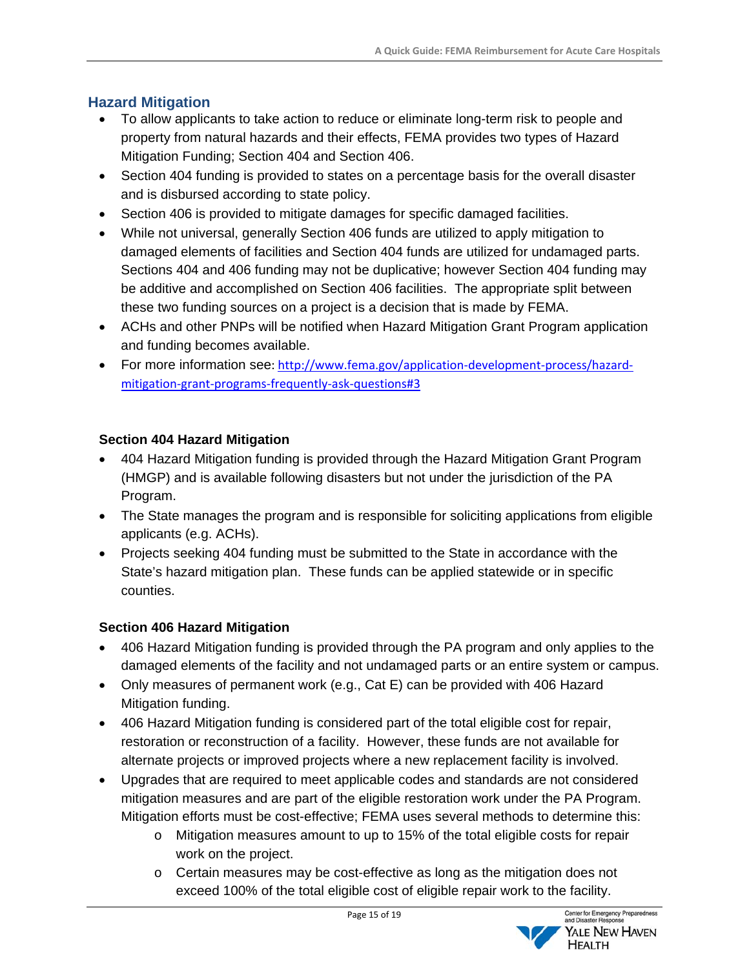#### <span id="page-14-0"></span>**Hazard Mitigation**

- To allow applicants to take action to reduce or eliminate long-term risk to people and property from natural hazards and their effects, FEMA provides two types of Hazard Mitigation Funding; Section 404 and Section 406.
- Section 404 funding is provided to states on a percentage basis for the overall disaster and is disbursed according to state policy.
- Section 406 is provided to mitigate damages for specific damaged facilities.
- While not universal, generally Section 406 funds are utilized to apply mitigation to damaged elements of facilities and Section 404 funds are utilized for undamaged parts. Sections 404 and 406 funding may not be duplicative; however Section 404 funding may be additive and accomplished on Section 406 facilities. The appropriate split between these two funding sources on a project is a decision that is made by FEMA.
- ACHs and other PNPs will be notified when Hazard Mitigation Grant Program application and funding becomes available.
- For more information see[: http://www.fema.gov/application-development-process/hazard](http://www.fema.gov/application-development-process/hazard-mitigation-grant-programs-frequently-ask-questions#3)mitigation[-grant-programs-frequently-ask-questions#3](http://www.fema.gov/application-development-process/hazard-mitigation-grant-programs-frequently-ask-questions#3)

#### **Section 404 Hazard Mitigation**

- 404 Hazard Mitigation funding is provided through the Hazard Mitigation Grant Program (HMGP) and is available following disasters but not under the jurisdiction of the PA Program.
- The State manages the program and is responsible for soliciting applications from eligible applicants (e.g. ACHs).
- Projects seeking 404 funding must be submitted to the State in accordance with the State's hazard mitigation plan. These funds can be applied statewide or in specific counties.

#### **Section 406 Hazard Mitigation**

- 406 Hazard Mitigation funding is provided through the PA program and only applies to the damaged elements of the facility and not undamaged parts or an entire system or campus.
- Only measures of permanent work (e.g., Cat E) can be provided with 406 Hazard Mitigation funding.
- 406 Hazard Mitigation funding is considered part of the total eligible cost for repair, restoration or reconstruction of a facility. However, these funds are not available for alternate projects or improved projects where a new replacement facility is involved.
- Upgrades that are required to meet applicable codes and standards are not considered mitigation measures and are part of the eligible restoration work under the PA Program. Mitigation efforts must be cost-effective; FEMA uses several methods to determine this:
	- $\circ$  Mitigation measures amount to up to 15% of the total eligible costs for repair work on the project.
	- o Certain measures may be cost-effective as long as the mitigation does not exceed 100% of the total eligible cost of eligible repair work to the facility.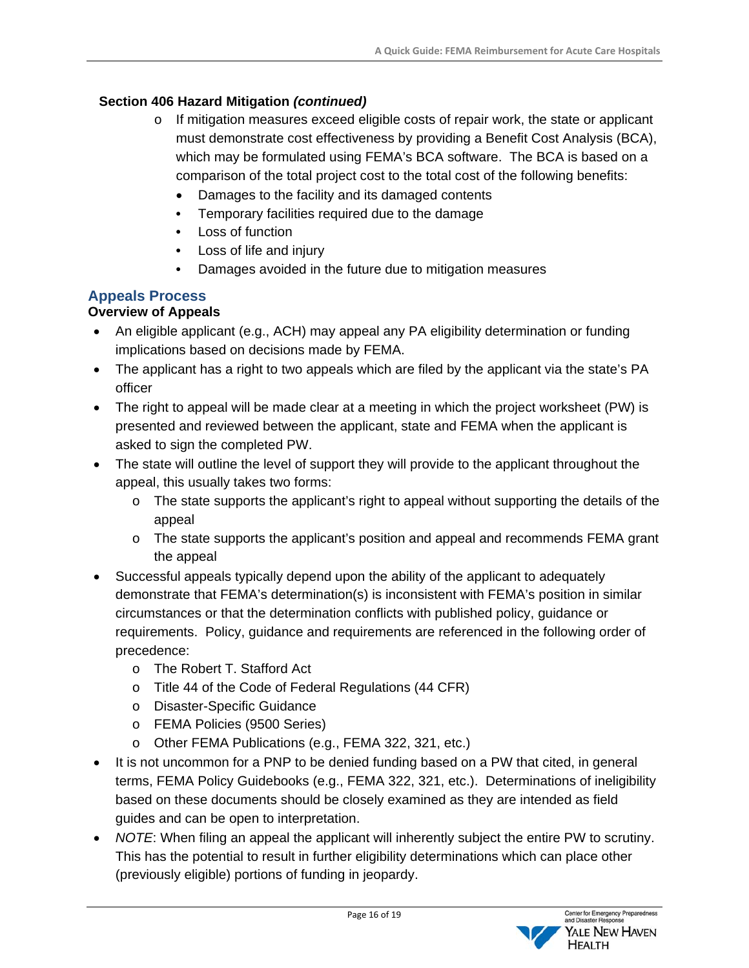#### <span id="page-15-0"></span>**Section 406 Hazard Mitigation** *(continued)*

- o If mitigation measures exceed eligible costs of repair work, the state or applicant must demonstrate cost effectiveness by providing a Benefit Cost Analysis (BCA), which may be formulated using FEMA's BCA software. The BCA is based on a comparison of the total project cost to the total cost of the following benefits:
	- Damages to the facility and its damaged contents
	- Temporary facilities required due to the damage
	- Loss of function
	- Loss of life and injury
	- Damages avoided in the future due to mitigation measures

#### **Appeals Process**

#### **Overview of Appeals**

- An eligible applicant (e.g., ACH) may appeal any PA eligibility determination or funding implications based on decisions made by FEMA.
- The applicant has a right to two appeals which are filed by the applicant via the state's PA officer
- The right to appeal will be made clear at a meeting in which the project worksheet (PW) is presented and reviewed between the applicant, state and FEMA when the applicant is asked to sign the completed PW.
- The state will outline the level of support they will provide to the applicant throughout the appeal, this usually takes two forms:
	- o The state supports the applicant's right to appeal without supporting the details of the appeal
	- o The state supports the applicant's position and appeal and recommends FEMA grant the appeal
- Successful appeals typically depend upon the ability of the applicant to adequately demonstrate that FEMA's determination(s) is inconsistent with FEMA's position in similar circumstances or that the determination conflicts with published policy, guidance or requirements. Policy, guidance and requirements are referenced in the following order of precedence:
	- o The Robert T. Stafford Act
	- o Title 44 of the Code of Federal Regulations (44 CFR)
	- o Disaster-Specific Guidance
	- o FEMA Policies (9500 Series)
	- o Other FEMA Publications (e.g., FEMA 322, 321, etc.)
- It is not uncommon for a PNP to be denied funding based on a PW that cited, in general terms, FEMA Policy Guidebooks (e.g., FEMA 322, 321, etc.). Determinations of ineligibility based on these documents should be closely examined as they are intended as field guides and can be open to interpretation.
- *NOTE*: When filing an appeal the applicant will inherently subject the entire PW to scrutiny. This has the potential to result in further eligibility determinations which can place other (previously eligible) portions of funding in jeopardy.

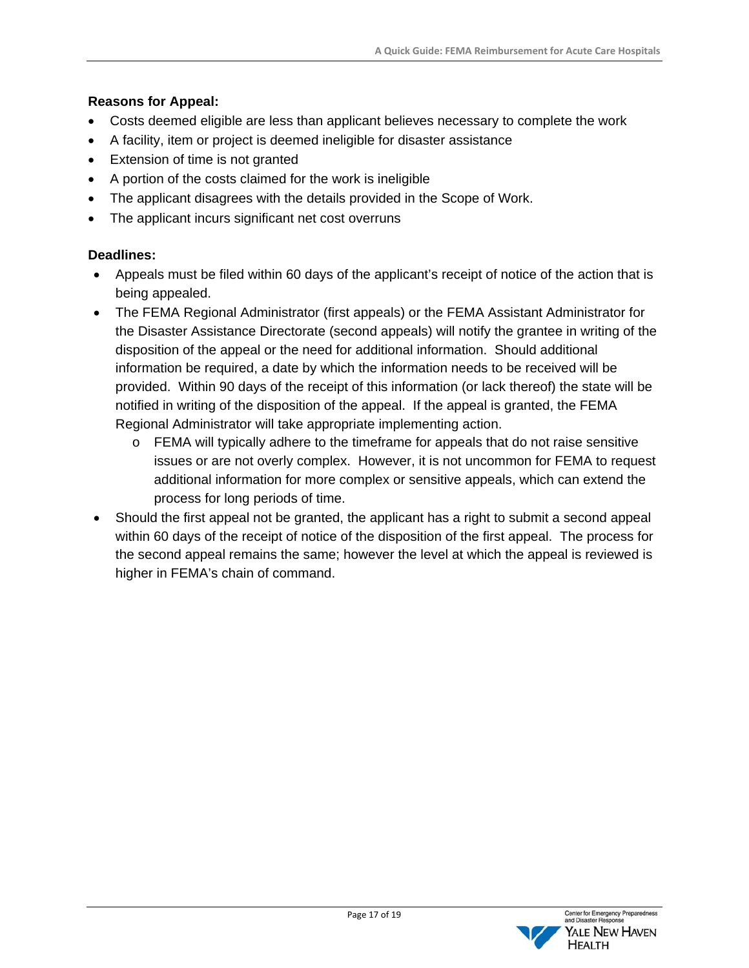#### **Reasons for Appeal:**

- Costs deemed eligible are less than applicant believes necessary to complete the work
- A facility, item or project is deemed ineligible for disaster assistance
- Extension of time is not granted
- A portion of the costs claimed for the work is ineligible
- The applicant disagrees with the details provided in the Scope of Work.
- The applicant incurs significant net cost overruns

#### **Deadlines:**

- Appeals must be filed within 60 days of the applicant's receipt of notice of the action that is being appealed.
- The FEMA Regional Administrator (first appeals) or the FEMA Assistant Administrator for the Disaster Assistance Directorate (second appeals) will notify the grantee in writing of the disposition of the appeal or the need for additional information. Should additional information be required, a date by which the information needs to be received will be provided. Within 90 days of the receipt of this information (or lack thereof) the state will be notified in writing of the disposition of the appeal. If the appeal is granted, the FEMA Regional Administrator will take appropriate implementing action.
	- $\circ$  FEMA will typically adhere to the timeframe for appeals that do not raise sensitive issues or are not overly complex. However, it is not uncommon for FEMA to request additional information for more complex or sensitive appeals, which can extend the process for long periods of time.
- Should the first appeal not be granted, the applicant has a right to submit a second appeal within 60 days of the receipt of notice of the disposition of the first appeal. The process for the second appeal remains the same; however the level at which the appeal is reviewed is higher in FEMA's chain of command.

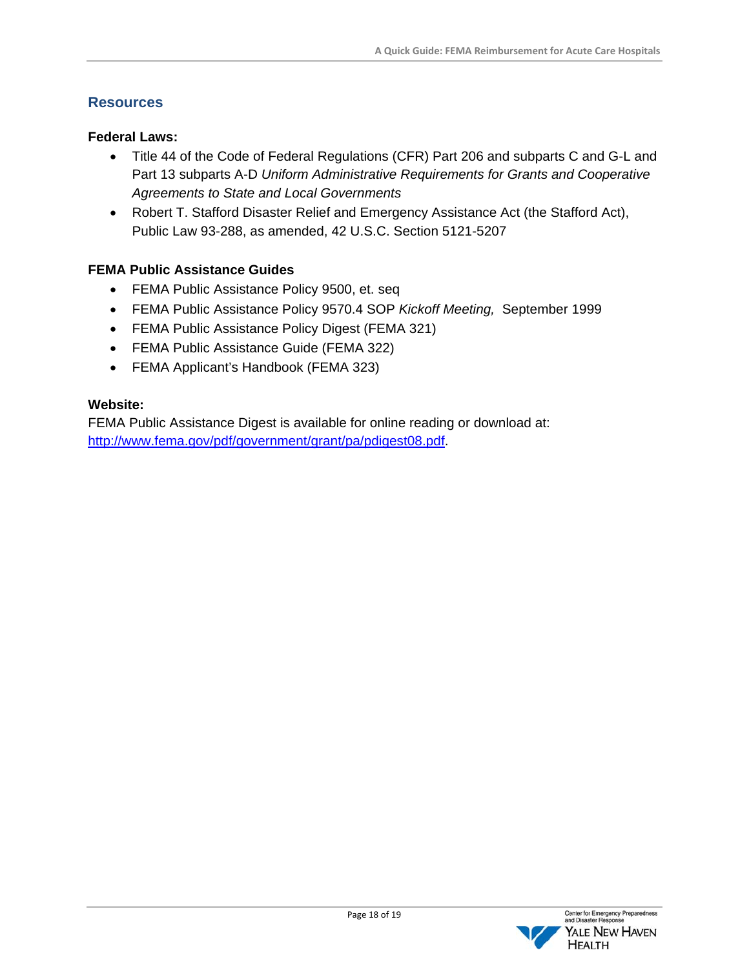#### <span id="page-17-0"></span>**Resources**

#### **Federal Laws:**

- Title 44 of the Code of Federal Regulations (CFR) Part 206 and subparts C and G-L and Part 13 subparts A-D *Uniform Administrative Requirements for Grants and Cooperative Agreements to State and Local Governments*
- Robert T. Stafford Disaster Relief and Emergency Assistance Act (the Stafford Act), Public Law 93-288, as amended, 42 U.S.C. Section 5121-5207

#### **FEMA Public Assistance Guides**

- FEMA Public Assistance Policy 9500, et. seq
- FEMA Public Assistance Policy 9570.4 SOP *Kickoff Meeting,* September 1999
- FEMA Public Assistance Policy Digest (FEMA 321)
- FEMA Public Assistance Guide (FEMA 322)
- FEMA Applicant's Handbook (FEMA 323)

#### **Website:**

FEMA Public Assistance Digest is available for online reading or download at: [http://www.fema.gov/pdf/government/grant/pa/pdigest08.pdf.](http://www.fema.gov/pdf/government/grant/pa/pdigest08.pdf)